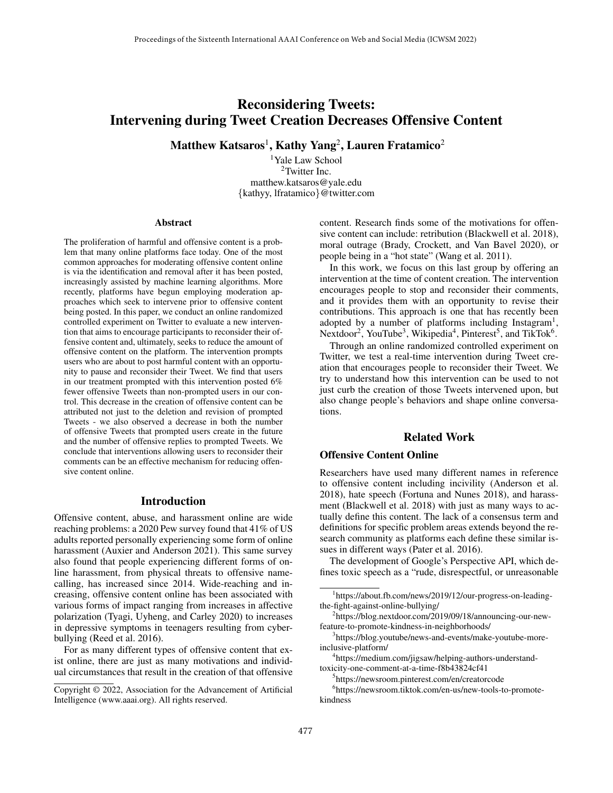# Reconsidering Tweets: Intervening during Tweet Creation Decreases Offensive Content

 $\mathbf M$ atthew Katsaros $^1$ , Kathy Yang $^2$ , Lauren Fratamico $^2$ 

<sup>1</sup>Yale Law School <sup>2</sup>Twitter Inc. matthew.katsaros@yale.edu {kathyy, lfratamico}@twitter.com

#### Abstract

The proliferation of harmful and offensive content is a problem that many online platforms face today. One of the most common approaches for moderating offensive content online is via the identifcation and removal after it has been posted, increasingly assisted by machine learning algorithms. More recently, platforms have begun employing moderation approaches which seek to intervene prior to offensive content being posted. In this paper, we conduct an online randomized controlled experiment on Twitter to evaluate a new intervention that aims to encourage participants to reconsider their offensive content and, ultimately, seeks to reduce the amount of offensive content on the platform. The intervention prompts users who are about to post harmful content with an opportunity to pause and reconsider their Tweet. We fnd that users in our treatment prompted with this intervention posted 6% fewer offensive Tweets than non-prompted users in our control. This decrease in the creation of offensive content can be attributed not just to the deletion and revision of prompted Tweets - we also observed a decrease in both the number of offensive Tweets that prompted users create in the future and the number of offensive replies to prompted Tweets. We conclude that interventions allowing users to reconsider their comments can be an effective mechanism for reducing offensive content online.

## Introduction

Offensive content, abuse, and harassment online are wide reaching problems: a 2020 Pew survey found that 41% of US adults reported personally experiencing some form of online harassment (Auxier and Anderson 2021). This same survey also found that people experiencing different forms of online harassment, from physical threats to offensive namecalling, has increased since 2014. Wide-reaching and increasing, offensive content online has been associated with various forms of impact ranging from increases in affective polarization (Tyagi, Uyheng, and Carley 2020) to increases in depressive symptoms in teenagers resulting from cyberbullying (Reed et al. 2016).

For as many different types of offensive content that exist online, there are just as many motivations and individual circumstances that result in the creation of that offensive content. Research fnds some of the motivations for offensive content can include: retribution (Blackwell et al. 2018), moral outrage (Brady, Crockett, and Van Bavel 2020), or people being in a "hot state" (Wang et al. 2011).

In this work, we focus on this last group by offering an intervention at the time of content creation. The intervention encourages people to stop and reconsider their comments, and it provides them with an opportunity to revise their contributions. This approach is one that has recently been adopted by a number of platforms including Instagram<sup>1</sup>, Nextdoor<sup>2</sup>, YouTube<sup>3</sup>, Wikipedia<sup>4</sup>, Pinterest<sup>5</sup>, and TikTok<sup>6</sup>.

Through an online randomized controlled experiment on Twitter, we test a real-time intervention during Tweet creation that encourages people to reconsider their Tweet. We try to understand how this intervention can be used to not just curb the creation of those Tweets intervened upon, but also change people's behaviors and shape online conversations.

# Related Work

#### Offensive Content Online

Researchers have used many different names in reference to offensive content including incivility (Anderson et al. 2018), hate speech (Fortuna and Nunes 2018), and harassment (Blackwell et al. 2018) with just as many ways to actually defne this content. The lack of a consensus term and defnitions for specifc problem areas extends beyond the research community as platforms each defne these similar issues in different ways (Pater et al. 2016).

The development of Google's Perspective API, which defnes toxic speech as a "rude, disrespectful, or unreasonable

Copyright © 2022, Association for the Advancement of Artifcial Intelligence (www.aaai.org). All rights reserved.

<sup>1</sup> https://about.fb.com/news/2019/12/our-progress-on-leadingthe-fght-against-online-bullying/

<sup>2</sup> https://blog.nextdoor.com/2019/09/18/announcing-our-newfeature-to-promote-kindness-in-neighborhoods/

<sup>3</sup> https://blog.youtube/news-and-events/make-youtube-moreinclusive-platform/

<sup>4</sup> https://medium.com/jigsaw/helping-authors-understandtoxicity-one-comment-at-a-time-f8b43824cf41

<sup>5</sup> https://newsroom.pinterest.com/en/creatorcode

<sup>6</sup> https://newsroom.tiktok.com/en-us/new-tools-to-promotekindness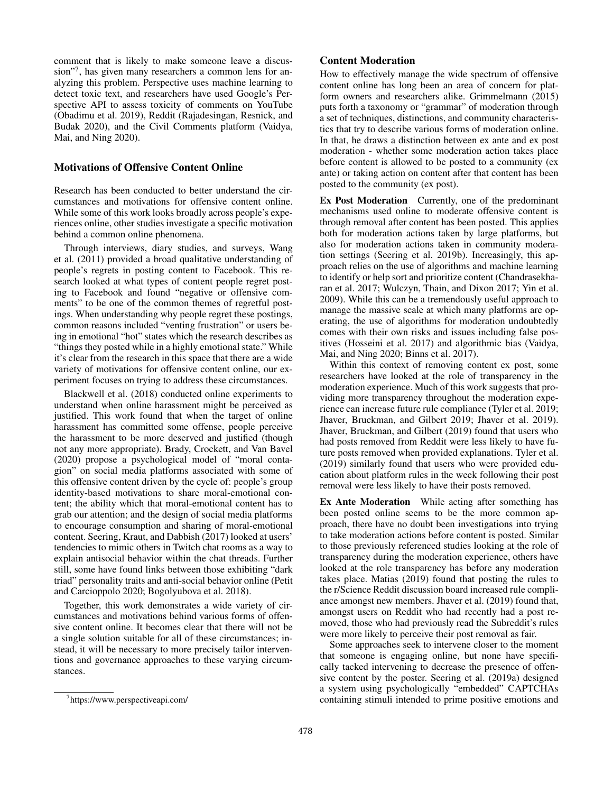comment that is likely to make someone leave a discussion"<sup>7</sup> , has given many researchers a common lens for analyzing this problem. Perspective uses machine learning to detect toxic text, and researchers have used Google's Perspective API to assess toxicity of comments on YouTube (Obadimu et al. 2019), Reddit (Rajadesingan, Resnick, and Budak 2020), and the Civil Comments platform (Vaidya, Mai, and Ning 2020).

### Motivations of Offensive Content Online

Research has been conducted to better understand the circumstances and motivations for offensive content online. While some of this work looks broadly across people's experiences online, other studies investigate a specifc motivation behind a common online phenomena.

Through interviews, diary studies, and surveys, Wang et al. (2011) provided a broad qualitative understanding of people's regrets in posting content to Facebook. This research looked at what types of content people regret posting to Facebook and found "negative or offensive comments" to be one of the common themes of regretful postings. When understanding why people regret these postings, common reasons included "venting frustration" or users being in emotional "hot" states which the research describes as "things they posted while in a highly emotional state." While it's clear from the research in this space that there are a wide variety of motivations for offensive content online, our experiment focuses on trying to address these circumstances.

Blackwell et al. (2018) conducted online experiments to understand when online harassment might be perceived as justifed. This work found that when the target of online harassment has committed some offense, people perceive the harassment to be more deserved and justifed (though not any more appropriate). Brady, Crockett, and Van Bavel (2020) propose a psychological model of "moral contagion" on social media platforms associated with some of this offensive content driven by the cycle of: people's group identity-based motivations to share moral-emotional content; the ability which that moral-emotional content has to grab our attention; and the design of social media platforms to encourage consumption and sharing of moral-emotional content. Seering, Kraut, and Dabbish (2017) looked at users' tendencies to mimic others in Twitch chat rooms as a way to explain antisocial behavior within the chat threads. Further still, some have found links between those exhibiting "dark triad" personality traits and anti-social behavior online (Petit and Carcioppolo 2020; Bogolyubova et al. 2018).

Together, this work demonstrates a wide variety of circumstances and motivations behind various forms of offensive content online. It becomes clear that there will not be a single solution suitable for all of these circumstances; instead, it will be necessary to more precisely tailor interventions and governance approaches to these varying circumstances.

## Content Moderation

How to effectively manage the wide spectrum of offensive content online has long been an area of concern for platform owners and researchers alike. Grimmelmann (2015) puts forth a taxonomy or "grammar" of moderation through a set of techniques, distinctions, and community characteristics that try to describe various forms of moderation online. In that, he draws a distinction between ex ante and ex post moderation - whether some moderation action takes place before content is allowed to be posted to a community (ex ante) or taking action on content after that content has been posted to the community (ex post).

Ex Post Moderation Currently, one of the predominant mechanisms used online to moderate offensive content is through removal after content has been posted. This applies both for moderation actions taken by large platforms, but also for moderation actions taken in community moderation settings (Seering et al. 2019b). Increasingly, this approach relies on the use of algorithms and machine learning to identify or help sort and prioritize content (Chandrasekharan et al. 2017; Wulczyn, Thain, and Dixon 2017; Yin et al. 2009). While this can be a tremendously useful approach to manage the massive scale at which many platforms are operating, the use of algorithms for moderation undoubtedly comes with their own risks and issues including false positives (Hosseini et al. 2017) and algorithmic bias (Vaidya, Mai, and Ning 2020; Binns et al. 2017).

Within this context of removing content ex post, some researchers have looked at the role of transparency in the moderation experience. Much of this work suggests that providing more transparency throughout the moderation experience can increase future rule compliance (Tyler et al. 2019; Jhaver, Bruckman, and Gilbert 2019; Jhaver et al. 2019). Jhaver, Bruckman, and Gilbert (2019) found that users who had posts removed from Reddit were less likely to have future posts removed when provided explanations. Tyler et al. (2019) similarly found that users who were provided education about platform rules in the week following their post removal were less likely to have their posts removed.

Ex Ante Moderation While acting after something has been posted online seems to be the more common approach, there have no doubt been investigations into trying to take moderation actions before content is posted. Similar to those previously referenced studies looking at the role of transparency during the moderation experience, others have looked at the role transparency has before any moderation takes place. Matias (2019) found that posting the rules to the r/Science Reddit discussion board increased rule compliance amongst new members. Jhaver et al. (2019) found that, amongst users on Reddit who had recently had a post removed, those who had previously read the Subreddit's rules were more likely to perceive their post removal as fair.

Some approaches seek to intervene closer to the moment that someone is engaging online, but none have specifcally tacked intervening to decrease the presence of offensive content by the poster. Seering et al. (2019a) designed a system using psychologically "embedded" CAPTCHAs containing stimuli intended to prime positive emotions and

<sup>7</sup> https://www.perspectiveapi.com/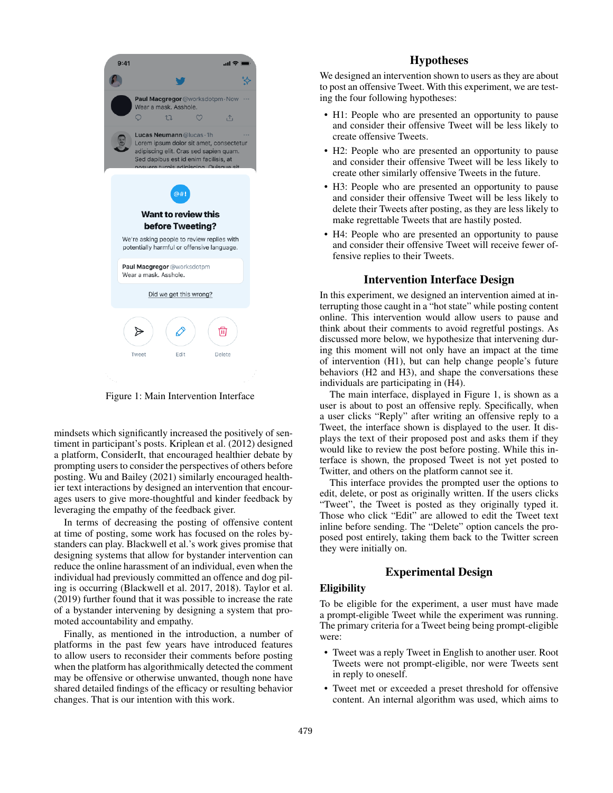

Figure 1: Main Intervention Interface

mindsets which signifcantly increased the positively of sentiment in participant's posts. Kriplean et al. (2012) designed a platform, ConsiderIt, that encouraged healthier debate by prompting users to consider the perspectives of others before posting. Wu and Bailey (2021) similarly encouraged healthier text interactions by designed an intervention that encourages users to give more-thoughtful and kinder feedback by leveraging the empathy of the feedback giver.

In terms of decreasing the posting of offensive content at time of posting, some work has focused on the roles bystanders can play. Blackwell et al.'s work gives promise that designing systems that allow for bystander intervention can reduce the online harassment of an individual, even when the individual had previously committed an offence and dog piling is occurring (Blackwell et al. 2017, 2018). Taylor et al. (2019) further found that it was possible to increase the rate of a bystander intervening by designing a system that promoted accountability and empathy.

Finally, as mentioned in the introduction, a number of platforms in the past few years have introduced features to allow users to reconsider their comments before posting when the platform has algorithmically detected the comment may be offensive or otherwise unwanted, though none have shared detailed fndings of the effcacy or resulting behavior changes. That is our intention with this work.

# Hypotheses

We designed an intervention shown to users as they are about to post an offensive Tweet. With this experiment, we are testing the four following hypotheses:

- H1: People who are presented an opportunity to pause and consider their offensive Tweet will be less likely to create offensive Tweets.
- H2: People who are presented an opportunity to pause and consider their offensive Tweet will be less likely to create other similarly offensive Tweets in the future.
- H3: People who are presented an opportunity to pause and consider their offensive Tweet will be less likely to delete their Tweets after posting, as they are less likely to make regrettable Tweets that are hastily posted.
- H4: People who are presented an opportunity to pause and consider their offensive Tweet will receive fewer offensive replies to their Tweets.

# Intervention Interface Design

In this experiment, we designed an intervention aimed at interrupting those caught in a "hot state" while posting content online. This intervention would allow users to pause and think about their comments to avoid regretful postings. As discussed more below, we hypothesize that intervening during this moment will not only have an impact at the time of intervention (H1), but can help change people's future behaviors (H2 and H3), and shape the conversations these individuals are participating in (H4).

The main interface, displayed in Figure 1, is shown as a user is about to post an offensive reply. Specifcally, when a user clicks "Reply" after writing an offensive reply to a Tweet, the interface shown is displayed to the user. It displays the text of their proposed post and asks them if they would like to review the post before posting. While this interface is shown, the proposed Tweet is not yet posted to Twitter, and others on the platform cannot see it.

This interface provides the prompted user the options to edit, delete, or post as originally written. If the users clicks "Tweet", the Tweet is posted as they originally typed it. Those who click "Edit" are allowed to edit the Tweet text inline before sending. The "Delete" option cancels the proposed post entirely, taking them back to the Twitter screen they were initially on.

# Experimental Design

#### Eligibility

To be eligible for the experiment, a user must have made a prompt-eligible Tweet while the experiment was running. The primary criteria for a Tweet being being prompt-eligible were:

- Tweet was a reply Tweet in English to another user. Root Tweets were not prompt-eligible, nor were Tweets sent in reply to oneself.
- Tweet met or exceeded a preset threshold for offensive content. An internal algorithm was used, which aims to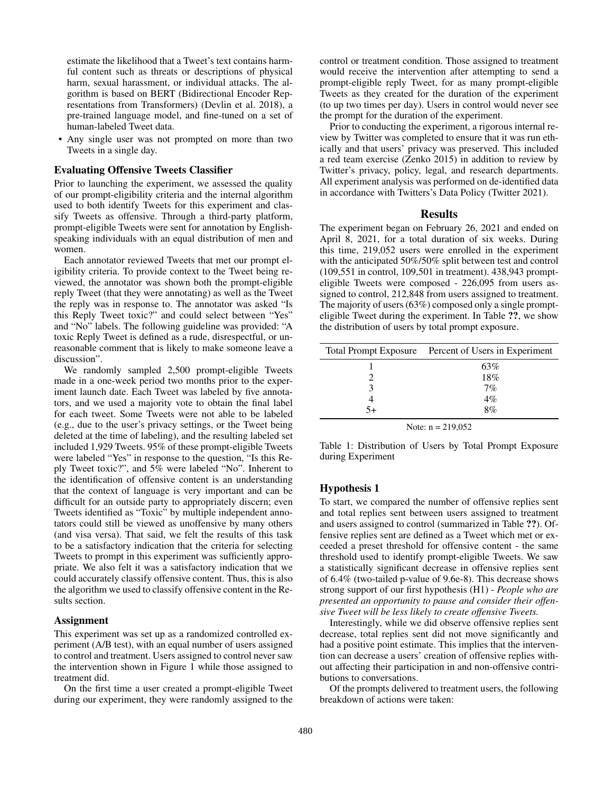estimate the likelihood that a Tweet's text contains harmful content such as threats or descriptions of physical harm, sexual harassment, or individual attacks. The algorithm is based on BERT (Bidirectional Encoder Representations from Transformers) (Devlin et al. 2018), a pre-trained language model, and fne-tuned on a set of human-labeled Tweet data.

• Any single user was not prompted on more than two Tweets in a single day.

## Evaluating Offensive Tweets Classifer

Prior to launching the experiment, we assessed the quality of our prompt-eligibility criteria and the internal algorithm used to both identify Tweets for this experiment and classify Tweets as offensive. Through a third-party platform, prompt-eligible Tweets were sent for annotation by Englishspeaking individuals with an equal distribution of men and women.

Each annotator reviewed Tweets that met our prompt eligibility criteria. To provide context to the Tweet being reviewed, the annotator was shown both the prompt-eligible reply Tweet (that they were annotating) as well as the Tweet the reply was in response to. The annotator was asked "Is this Reply Tweet toxic?" and could select between "Yes" and "No" labels. The following guideline was provided: "A toxic Reply Tweet is defned as a rude, disrespectful, or unreasonable comment that is likely to make someone leave a discussion".

We randomly sampled 2,500 prompt-eligible Tweets made in a one-week period two months prior to the experiment launch date. Each Tweet was labeled by five annotators, and we used a majority vote to obtain the fnal label for each tweet. Some Tweets were not able to be labeled (e.g., due to the user's privacy settings, or the Tweet being deleted at the time of labeling), and the resulting labeled set included 1,929 Tweets. 95% of these prompt-eligible Tweets were labeled "Yes" in response to the question, "Is this Reply Tweet toxic?", and 5% were labeled "No". Inherent to the identifcation of offensive content is an understanding that the context of language is very important and can be difficult for an outside party to appropriately discern; even Tweets identifed as "Toxic" by multiple independent annotators could still be viewed as unoffensive by many others (and visa versa). That said, we felt the results of this task to be a satisfactory indication that the criteria for selecting Tweets to prompt in this experiment was sufficiently appropriate. We also felt it was a satisfactory indication that we could accurately classify offensive content. Thus, this is also the algorithm we used to classify offensive content in the Results section.

## Assignment

This experiment was set up as a randomized controlled experiment (A/B test), with an equal number of users assigned to control and treatment. Users assigned to control never saw the intervention shown in Figure 1 while those assigned to treatment did.

On the frst time a user created a prompt-eligible Tweet during our experiment, they were randomly assigned to the control or treatment condition. Those assigned to treatment would receive the intervention after attempting to send a prompt-eligible reply Tweet, for as many prompt-eligible Tweets as they created for the duration of the experiment (to up two times per day). Users in control would never see the prompt for the duration of the experiment.

Prior to conducting the experiment, a rigorous internal review by Twitter was completed to ensure that it was run ethically and that users' privacy was preserved. This included a red team exercise (Zenko 2015) in addition to review by Twitter's privacy, policy, legal, and research departments. All experiment analysis was performed on de-identifed data in accordance with Twitters's Data Policy (Twitter 2021).

#### **Results**

The experiment began on February 26, 2021 and ended on April 8, 2021, for a total duration of six weeks. During this time, 219,052 users were enrolled in the experiment with the anticipated 50%/50% split between test and control (109,551 in control, 109,501 in treatment). 438,943 prompteligible Tweets were composed - 226,095 from users assigned to control, 212,848 from users assigned to treatment. The majority of users (63%) composed only a single prompteligible Tweet during the experiment. In Table ??, we show the distribution of users by total prompt exposure.

| Total Prompt Exposure Percent of Users in Experiment |
|------------------------------------------------------|
| 63%                                                  |
| 18%                                                  |
| 7%                                                   |
| 4%                                                   |
| 8%                                                   |
|                                                      |

Note:  $n = 219,052$ 

Table 1: Distribution of Users by Total Prompt Exposure during Experiment

#### Hypothesis 1

To start, we compared the number of offensive replies sent and total replies sent between users assigned to treatment and users assigned to control (summarized in Table ??). Offensive replies sent are defned as a Tweet which met or exceeded a preset threshold for offensive content - the same threshold used to identify prompt-eligible Tweets. We saw a statistically signifcant decrease in offensive replies sent of 6.4% (two-tailed p-value of 9.6e-8). This decrease shows strong support of our frst hypothesis (H1) - *People who are presented an opportunity to pause and consider their offensive Tweet will be less likely to create offensive Tweets.*

Interestingly, while we did observe offensive replies sent decrease, total replies sent did not move signifcantly and had a positive point estimate. This implies that the intervention can decrease a users' creation of offensive replies without affecting their participation in and non-offensive contributions to conversations.

Of the prompts delivered to treatment users, the following breakdown of actions were taken: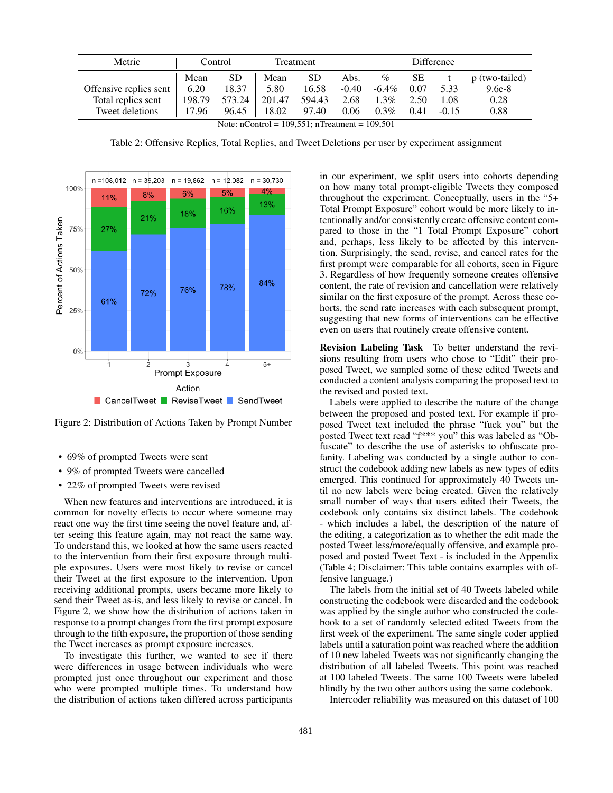| Metric                 | Control<br>Treatment |        |        | Difference |         |          |           |         |                |
|------------------------|----------------------|--------|--------|------------|---------|----------|-----------|---------|----------------|
|                        | Mean                 | SD     | Mean   | SD         | Abs.    | $\%$     | <b>SE</b> |         | p (two-tailed) |
| Offensive replies sent | 6.20                 | 18.37  | 5.80   | 16.58      | $-0.40$ | $-6.4\%$ | 0.07      | 5.33    | $9.6e-8$       |
| Total replies sent     | 198.79               | 573.24 | 201.47 | 594.43     | 2.68    | $1.3\%$  | 2.50      | 1.08    | 0.28           |
| Tweet deletions        | 17.96                | 96.45  | 18.02  | 97.40      | 0.06    | $0.3\%$  | 0.41      | $-0.15$ | 0.88           |

Note: nControl = 109,551; nTreatment = 109,501

Table 2: Offensive Replies, Total Replies, and Tweet Deletions per user by experiment assignment



Figure 2: Distribution of Actions Taken by Prompt Number

- 69% of prompted Tweets were sent
- 9% of prompted Tweets were cancelled
- 22% of prompted Tweets were revised

When new features and interventions are introduced, it is common for novelty effects to occur where someone may react one way the frst time seeing the novel feature and, after seeing this feature again, may not react the same way. To understand this, we looked at how the same users reacted to the intervention from their frst exposure through multiple exposures. Users were most likely to revise or cancel their Tweet at the frst exposure to the intervention. Upon receiving additional prompts, users became more likely to send their Tweet as-is, and less likely to revise or cancel. In Figure 2, we show how the distribution of actions taken in response to a prompt changes from the frst prompt exposure through to the ffth exposure, the proportion of those sending the Tweet increases as prompt exposure increases.

To investigate this further, we wanted to see if there were differences in usage between individuals who were prompted just once throughout our experiment and those who were prompted multiple times. To understand how the distribution of actions taken differed across participants in our experiment, we split users into cohorts depending on how many total prompt-eligible Tweets they composed throughout the experiment. Conceptually, users in the "5+ Total Prompt Exposure" cohort would be more likely to intentionally and/or consistently create offensive content compared to those in the "1 Total Prompt Exposure" cohort and, perhaps, less likely to be affected by this intervention. Surprisingly, the send, revise, and cancel rates for the frst prompt were comparable for all cohorts, seen in Figure 3. Regardless of how frequently someone creates offensive content, the rate of revision and cancellation were relatively similar on the frst exposure of the prompt. Across these cohorts, the send rate increases with each subsequent prompt, suggesting that new forms of interventions can be effective even on users that routinely create offensive content.

Revision Labeling Task To better understand the revisions resulting from users who chose to "Edit" their proposed Tweet, we sampled some of these edited Tweets and conducted a content analysis comparing the proposed text to the revised and posted text.

Labels were applied to describe the nature of the change between the proposed and posted text. For example if proposed Tweet text included the phrase "fuck you" but the posted Tweet text read "f\*\*\* you" this was labeled as "Obfuscate" to describe the use of asterisks to obfuscate profanity. Labeling was conducted by a single author to construct the codebook adding new labels as new types of edits emerged. This continued for approximately 40 Tweets until no new labels were being created. Given the relatively small number of ways that users edited their Tweets, the codebook only contains six distinct labels. The codebook - which includes a label, the description of the nature of the editing, a categorization as to whether the edit made the posted Tweet less/more/equally offensive, and example proposed and posted Tweet Text - is included in the Appendix (Table 4; Disclaimer: This table contains examples with offensive language.)

The labels from the initial set of 40 Tweets labeled while constructing the codebook were discarded and the codebook was applied by the single author who constructed the codebook to a set of randomly selected edited Tweets from the frst week of the experiment. The same single coder applied labels until a saturation point was reached where the addition of 10 new labeled Tweets was not signifcantly changing the distribution of all labeled Tweets. This point was reached at 100 labeled Tweets. The same 100 Tweets were labeled blindly by the two other authors using the same codebook.

Intercoder reliability was measured on this dataset of 100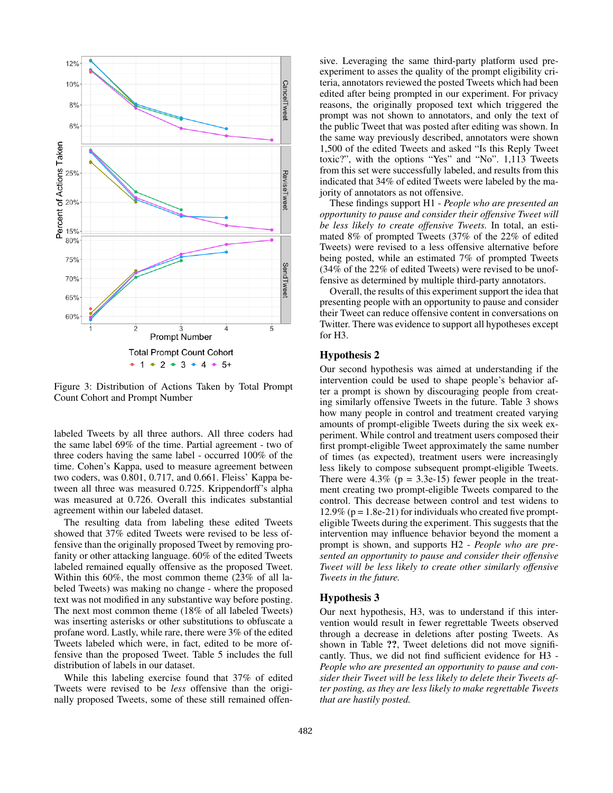

Figure 3: Distribution of Actions Taken by Total Prompt Count Cohort and Prompt Number

labeled Tweets by all three authors. All three coders had the same label 69% of the time. Partial agreement - two of three coders having the same label - occurred 100% of the time. Cohen's Kappa, used to measure agreement between two coders, was 0.801, 0.717, and 0.661. Fleiss' Kappa between all three was measured 0.725. Krippendorff's alpha was measured at 0.726. Overall this indicates substantial agreement within our labeled dataset.

The resulting data from labeling these edited Tweets showed that 37% edited Tweets were revised to be less offensive than the originally proposed Tweet by removing profanity or other attacking language. 60% of the edited Tweets labeled remained equally offensive as the proposed Tweet. Within this 60%, the most common theme (23% of all labeled Tweets) was making no change - where the proposed text was not modifed in any substantive way before posting. The next most common theme (18% of all labeled Tweets) was inserting asterisks or other substitutions to obfuscate a profane word. Lastly, while rare, there were 3% of the edited Tweets labeled which were, in fact, edited to be more offensive than the proposed Tweet. Table 5 includes the full distribution of labels in our dataset.

While this labeling exercise found that 37% of edited Tweets were revised to be *less* offensive than the originally proposed Tweets, some of these still remained offensive. Leveraging the same third-party platform used preexperiment to asses the quality of the prompt eligibility criteria, annotators reviewed the posted Tweets which had been edited after being prompted in our experiment. For privacy reasons, the originally proposed text which triggered the prompt was not shown to annotators, and only the text of the public Tweet that was posted after editing was shown. In the same way previously described, annotators were shown 1,500 of the edited Tweets and asked "Is this Reply Tweet toxic?", with the options "Yes" and "No". 1,113 Tweets from this set were successfully labeled, and results from this indicated that 34% of edited Tweets were labeled by the majority of annotators as not offensive.

These fndings support H1 - *People who are presented an opportunity to pause and consider their offensive Tweet will be less likely to create offensive Tweets.* In total, an estimated 8% of prompted Tweets (37% of the 22% of edited Tweets) were revised to a less offensive alternative before being posted, while an estimated 7% of prompted Tweets (34% of the 22% of edited Tweets) were revised to be unoffensive as determined by multiple third-party annotators.

Overall, the results of this experiment support the idea that presenting people with an opportunity to pause and consider their Tweet can reduce offensive content in conversations on Twitter. There was evidence to support all hypotheses except for H3.

#### Hypothesis 2

Our second hypothesis was aimed at understanding if the intervention could be used to shape people's behavior after a prompt is shown by discouraging people from creating similarly offensive Tweets in the future. Table 3 shows how many people in control and treatment created varying amounts of prompt-eligible Tweets during the six week experiment. While control and treatment users composed their frst prompt-eligible Tweet approximately the same number of times (as expected), treatment users were increasingly less likely to compose subsequent prompt-eligible Tweets. There were  $4.3\%$  (p = 3.3e-15) fewer people in the treatment creating two prompt-eligible Tweets compared to the control. This decrease between control and test widens to 12.9% ( $p = 1.8e-21$ ) for individuals who created five prompteligible Tweets during the experiment. This suggests that the intervention may infuence behavior beyond the moment a prompt is shown, and supports H2 - *People who are presented an opportunity to pause and consider their offensive Tweet will be less likely to create other similarly offensive Tweets in the future.*

#### Hypothesis 3

Our next hypothesis, H3, was to understand if this intervention would result in fewer regrettable Tweets observed through a decrease in deletions after posting Tweets. As shown in Table ??, Tweet deletions did not move signifcantly. Thus, we did not find sufficient evidence for H3 -*People who are presented an opportunity to pause and consider their Tweet will be less likely to delete their Tweets after posting, as they are less likely to make regrettable Tweets that are hastily posted.*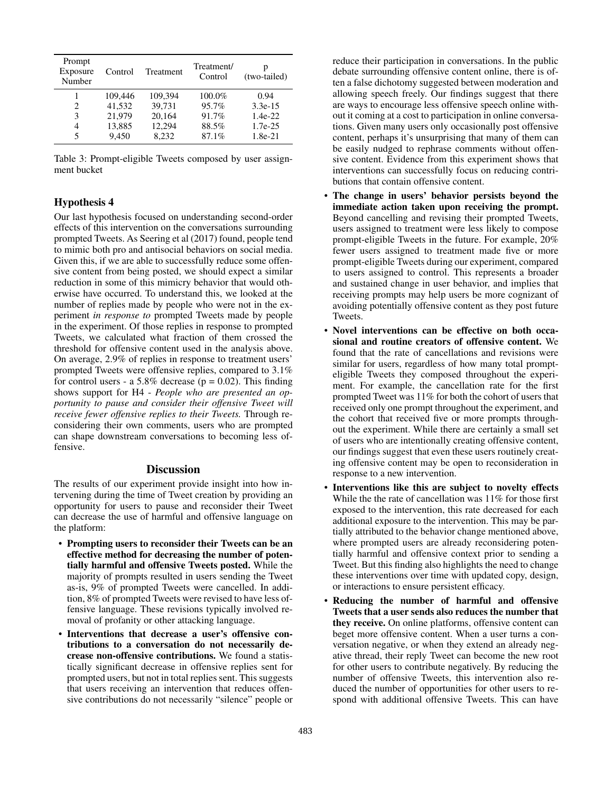| Prompt<br>Exposure<br>Number | Control | Treatment | Treatment/<br>Control | (two-tailed) |
|------------------------------|---------|-----------|-----------------------|--------------|
|                              | 109.446 | 109,394   | $100.0\%$             | 0.94         |
| 2                            | 41.532  | 39.731    | 95.7%                 | $3.3e-15$    |
| 3                            | 21.979  | 20,164    | 91.7%                 | $1.4e-22$    |
| 4                            | 13,885  | 12,294    | 88.5%                 | $1.7e-25$    |
| 5                            | 9.450   | 8.232     | 87.1%                 | $1.8e-21$    |

Table 3: Prompt-eligible Tweets composed by user assignment bucket

### Hypothesis 4

Our last hypothesis focused on understanding second-order effects of this intervention on the conversations surrounding prompted Tweets. As Seering et al (2017) found, people tend to mimic both pro and antisocial behaviors on social media. Given this, if we are able to successfully reduce some offensive content from being posted, we should expect a similar reduction in some of this mimicry behavior that would otherwise have occurred. To understand this, we looked at the number of replies made by people who were not in the experiment *in response to* prompted Tweets made by people in the experiment. Of those replies in response to prompted Tweets, we calculated what fraction of them crossed the threshold for offensive content used in the analysis above. On average, 2.9% of replies in response to treatment users' prompted Tweets were offensive replies, compared to 3.1% for control users - a 5.8% decrease ( $p = 0.02$ ). This finding shows support for H4 - *People who are presented an opportunity to pause and consider their offensive Tweet will receive fewer offensive replies to their Tweets.* Through reconsidering their own comments, users who are prompted can shape downstream conversations to becoming less offensive.

### **Discussion**

The results of our experiment provide insight into how intervening during the time of Tweet creation by providing an opportunity for users to pause and reconsider their Tweet can decrease the use of harmful and offensive language on the platform:

- Prompting users to reconsider their Tweets can be an effective method for decreasing the number of potentially harmful and offensive Tweets posted. While the majority of prompts resulted in users sending the Tweet as-is, 9% of prompted Tweets were cancelled. In addition, 8% of prompted Tweets were revised to have less offensive language. These revisions typically involved removal of profanity or other attacking language.
- Interventions that decrease a user's offensive contributions to a conversation do not necessarily decrease non-offensive contributions. We found a statistically signifcant decrease in offensive replies sent for prompted users, but not in total replies sent. This suggests that users receiving an intervention that reduces offensive contributions do not necessarily "silence" people or

reduce their participation in conversations. In the public debate surrounding offensive content online, there is often a false dichotomy suggested between moderation and allowing speech freely. Our fndings suggest that there are ways to encourage less offensive speech online without it coming at a cost to participation in online conversations. Given many users only occasionally post offensive content, perhaps it's unsurprising that many of them can be easily nudged to rephrase comments without offensive content. Evidence from this experiment shows that interventions can successfully focus on reducing contributions that contain offensive content.

- The change in users' behavior persists beyond the immediate action taken upon receiving the prompt. Beyond cancelling and revising their prompted Tweets, users assigned to treatment were less likely to compose prompt-eligible Tweets in the future. For example, 20% fewer users assigned to treatment made fve or more prompt-eligible Tweets during our experiment, compared to users assigned to control. This represents a broader and sustained change in user behavior, and implies that receiving prompts may help users be more cognizant of avoiding potentially offensive content as they post future Tweets.
- Novel interventions can be effective on both occasional and routine creators of offensive content. We found that the rate of cancellations and revisions were similar for users, regardless of how many total prompteligible Tweets they composed throughout the experiment. For example, the cancellation rate for the frst prompted Tweet was 11% for both the cohort of users that received only one prompt throughout the experiment, and the cohort that received fve or more prompts throughout the experiment. While there are certainly a small set of users who are intentionally creating offensive content, our fndings suggest that even these users routinely creating offensive content may be open to reconsideration in response to a new intervention.
- Interventions like this are subject to novelty effects While the the rate of cancellation was 11% for those frst exposed to the intervention, this rate decreased for each additional exposure to the intervention. This may be partially attributed to the behavior change mentioned above, where prompted users are already reconsidering potentially harmful and offensive context prior to sending a Tweet. But this fnding also highlights the need to change these interventions over time with updated copy, design, or interactions to ensure persistent effcacy.
- Reducing the number of harmful and offensive Tweets that a user sends also reduces the number that they receive. On online platforms, offensive content can beget more offensive content. When a user turns a conversation negative, or when they extend an already negative thread, their reply Tweet can become the new root for other users to contribute negatively. By reducing the number of offensive Tweets, this intervention also reduced the number of opportunities for other users to respond with additional offensive Tweets. This can have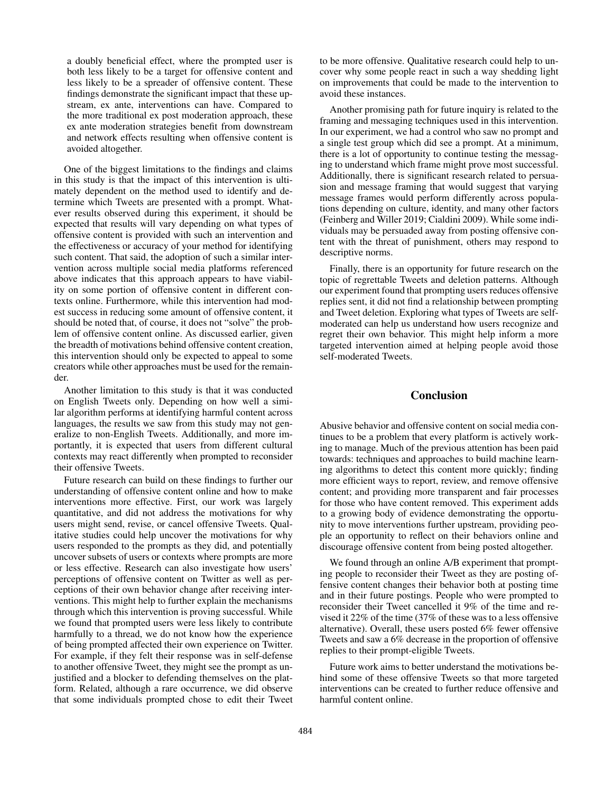a doubly benefcial effect, where the prompted user is both less likely to be a target for offensive content and less likely to be a spreader of offensive content. These fndings demonstrate the signifcant impact that these upstream, ex ante, interventions can have. Compared to the more traditional ex post moderation approach, these ex ante moderation strategies beneft from downstream and network effects resulting when offensive content is avoided altogether.

One of the biggest limitations to the fndings and claims in this study is that the impact of this intervention is ultimately dependent on the method used to identify and determine which Tweets are presented with a prompt. Whatever results observed during this experiment, it should be expected that results will vary depending on what types of offensive content is provided with such an intervention and the effectiveness or accuracy of your method for identifying such content. That said, the adoption of such a similar intervention across multiple social media platforms referenced above indicates that this approach appears to have viability on some portion of offensive content in different contexts online. Furthermore, while this intervention had modest success in reducing some amount of offensive content, it should be noted that, of course, it does not "solve" the problem of offensive content online. As discussed earlier, given the breadth of motivations behind offensive content creation, this intervention should only be expected to appeal to some creators while other approaches must be used for the remainder.

Another limitation to this study is that it was conducted on English Tweets only. Depending on how well a similar algorithm performs at identifying harmful content across languages, the results we saw from this study may not generalize to non-English Tweets. Additionally, and more importantly, it is expected that users from different cultural contexts may react differently when prompted to reconsider their offensive Tweets.

Future research can build on these fndings to further our understanding of offensive content online and how to make interventions more effective. First, our work was largely quantitative, and did not address the motivations for why users might send, revise, or cancel offensive Tweets. Qualitative studies could help uncover the motivations for why users responded to the prompts as they did, and potentially uncover subsets of users or contexts where prompts are more or less effective. Research can also investigate how users' perceptions of offensive content on Twitter as well as perceptions of their own behavior change after receiving interventions. This might help to further explain the mechanisms through which this intervention is proving successful. While we found that prompted users were less likely to contribute harmfully to a thread, we do not know how the experience of being prompted affected their own experience on Twitter. For example, if they felt their response was in self-defense to another offensive Tweet, they might see the prompt as unjustifed and a blocker to defending themselves on the platform. Related, although a rare occurrence, we did observe that some individuals prompted chose to edit their Tweet to be more offensive. Qualitative research could help to uncover why some people react in such a way shedding light on improvements that could be made to the intervention to avoid these instances.

Another promising path for future inquiry is related to the framing and messaging techniques used in this intervention. In our experiment, we had a control who saw no prompt and a single test group which did see a prompt. At a minimum, there is a lot of opportunity to continue testing the messaging to understand which frame might prove most successful. Additionally, there is signifcant research related to persuasion and message framing that would suggest that varying message frames would perform differently across populations depending on culture, identity, and many other factors (Feinberg and Willer 2019; Cialdini 2009). While some individuals may be persuaded away from posting offensive content with the threat of punishment, others may respond to descriptive norms.

Finally, there is an opportunity for future research on the topic of regrettable Tweets and deletion patterns. Although our experiment found that prompting users reduces offensive replies sent, it did not fnd a relationship between prompting and Tweet deletion. Exploring what types of Tweets are selfmoderated can help us understand how users recognize and regret their own behavior. This might help inform a more targeted intervention aimed at helping people avoid those self-moderated Tweets.

## Conclusion

Abusive behavior and offensive content on social media continues to be a problem that every platform is actively working to manage. Much of the previous attention has been paid towards: techniques and approaches to build machine learning algorithms to detect this content more quickly; fnding more efficient ways to report, review, and remove offensive content; and providing more transparent and fair processes for those who have content removed. This experiment adds to a growing body of evidence demonstrating the opportunity to move interventions further upstream, providing people an opportunity to refect on their behaviors online and discourage offensive content from being posted altogether.

We found through an online A/B experiment that prompting people to reconsider their Tweet as they are posting offensive content changes their behavior both at posting time and in their future postings. People who were prompted to reconsider their Tweet cancelled it 9% of the time and revised it 22% of the time (37% of these was to a less offensive alternative). Overall, these users posted 6% fewer offensive Tweets and saw a 6% decrease in the proportion of offensive replies to their prompt-eligible Tweets.

Future work aims to better understand the motivations behind some of these offensive Tweets so that more targeted interventions can be created to further reduce offensive and harmful content online.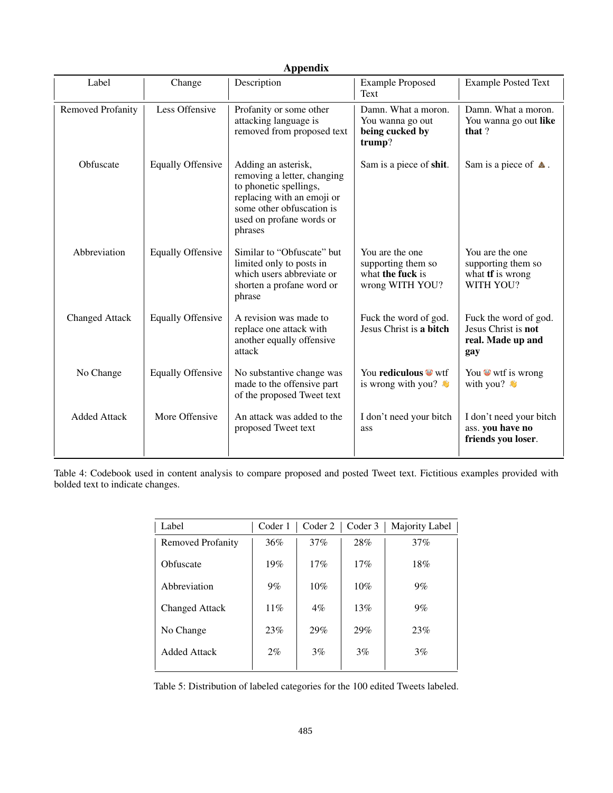| <b>Appendix</b>          |                          |                                                                                                                                                                                |                                                                              |                                                                               |  |  |
|--------------------------|--------------------------|--------------------------------------------------------------------------------------------------------------------------------------------------------------------------------|------------------------------------------------------------------------------|-------------------------------------------------------------------------------|--|--|
| Label                    | Change                   | Description                                                                                                                                                                    | <b>Example Proposed</b><br>Text                                              | <b>Example Posted Text</b>                                                    |  |  |
| <b>Removed Profanity</b> | Less Offensive           | Profanity or some other<br>attacking language is<br>removed from proposed text                                                                                                 | Damn. What a moron.<br>You wanna go out<br>being cucked by<br>trump?         | Damn. What a moron.<br>You wanna go out like<br>that?                         |  |  |
| Obfuscate                | <b>Equally Offensive</b> | Adding an asterisk,<br>removing a letter, changing<br>to phonetic spellings,<br>replacing with an emoji or<br>some other obfuscation is<br>used on profane words or<br>phrases | Sam is a piece of shit.                                                      | Sam is a piece of $\triangle$ .                                               |  |  |
| Abbreviation             | <b>Equally Offensive</b> | Similar to "Obfuscate" but<br>limited only to posts in<br>which users abbreviate or<br>shorten a profane word or<br>phrase                                                     | You are the one<br>supporting them so<br>what the fuck is<br>wrong WITH YOU? | You are the one<br>supporting them so<br>what <b>tf</b> is wrong<br>WITH YOU? |  |  |
| <b>Changed Attack</b>    | <b>Equally Offensive</b> | A revision was made to<br>replace one attack with<br>another equally offensive<br>attack                                                                                       | Fuck the word of god.<br>Jesus Christ is a bitch                             | Fuck the word of god.<br>Jesus Christ is not<br>real. Made up and<br>gay      |  |  |
| No Change                | <b>Equally Offensive</b> | No substantive change was<br>made to the offensive part<br>of the proposed Tweet text                                                                                          | You rediculous <sup>o</sup> wtf<br>is wrong with you? $\bullet$              | You will is wrong<br>with you?                                                |  |  |
| <b>Added Attack</b>      | More Offensive           | An attack was added to the<br>proposed Tweet text                                                                                                                              | I don't need your bitch<br>ass                                               | I don't need your bitch<br>ass. you have no<br>friends you loser.             |  |  |

Table 4: Codebook used in content analysis to compare proposed and posted Tweet text. Fictitious examples provided with bolded text to indicate changes.

| Label             | Coder 1 | Coder 2 | Coder 3 | Majority Label |
|-------------------|---------|---------|---------|----------------|
| Removed Profanity | 36%     | 37%     | 28%     | 37%            |
| Obfuscate         | 19%     | 17%     | 17%     | 18%            |
| Abbreviation      | $9\%$   | 10%     | 10%     | 9%             |
| Changed Attack    | 11%     | $4\%$   | 13%     | 9%             |
| No Change         | 23%     | 29%     | 29%     | 23%            |
| Added Attack      | $2\%$   | 3%      | 3%      | 3%             |

Table 5: Distribution of labeled categories for the 100 edited Tweets labeled.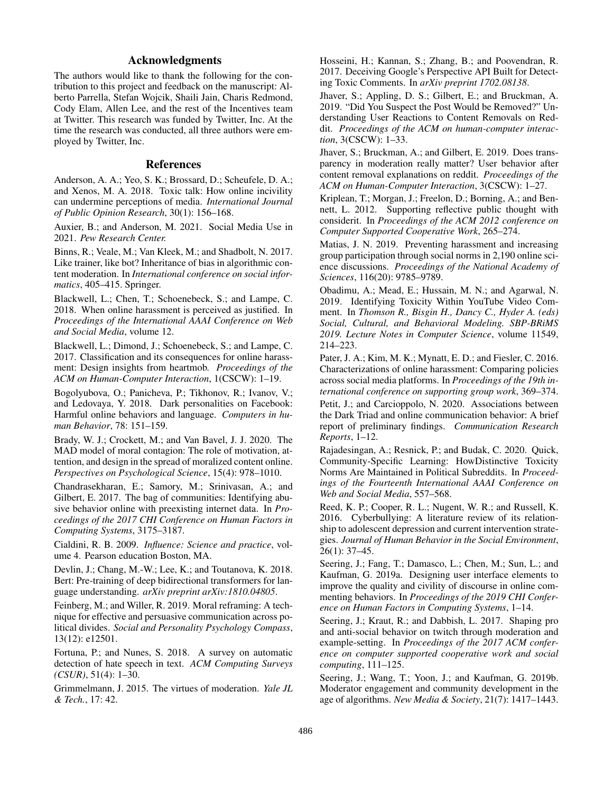# Acknowledgments

The authors would like to thank the following for the contribution to this project and feedback on the manuscript: Alberto Parrella, Stefan Wojcik, Shaili Jain, Charis Redmond, Cody Elam, Allen Lee, and the rest of the Incentives team at Twitter. This research was funded by Twitter, Inc. At the time the research was conducted, all three authors were employed by Twitter, Inc.

### References

Anderson, A. A.; Yeo, S. K.; Brossard, D.; Scheufele, D. A.; and Xenos, M. A. 2018. Toxic talk: How online incivility can undermine perceptions of media. *International Journal of Public Opinion Research*, 30(1): 156–168.

Auxier, B.; and Anderson, M. 2021. Social Media Use in 2021. *Pew Research Center.*

Binns, R.; Veale, M.; Van Kleek, M.; and Shadbolt, N. 2017. Like trainer, like bot? Inheritance of bias in algorithmic content moderation. In *International conference on social informatics*, 405–415. Springer.

Blackwell, L.; Chen, T.; Schoenebeck, S.; and Lampe, C. 2018. When online harassment is perceived as justifed. In *Proceedings of the International AAAI Conference on Web and Social Media*, volume 12.

Blackwell, L.; Dimond, J.; Schoenebeck, S.; and Lampe, C. 2017. Classifcation and its consequences for online harassment: Design insights from heartmob. *Proceedings of the ACM on Human-Computer Interaction*, 1(CSCW): 1–19.

Bogolyubova, O.; Panicheva, P.; Tikhonov, R.; Ivanov, V.; and Ledovaya, Y. 2018. Dark personalities on Facebook: Harmful online behaviors and language. *Computers in human Behavior*, 78: 151–159.

Brady, W. J.; Crockett, M.; and Van Bavel, J. J. 2020. The MAD model of moral contagion: The role of motivation, attention, and design in the spread of moralized content online. *Perspectives on Psychological Science*, 15(4): 978–1010.

Chandrasekharan, E.; Samory, M.; Srinivasan, A.; and Gilbert, E. 2017. The bag of communities: Identifying abusive behavior online with preexisting internet data. In *Proceedings of the 2017 CHI Conference on Human Factors in Computing Systems*, 3175–3187.

Cialdini, R. B. 2009. *Infuence: Science and practice*, volume 4. Pearson education Boston, MA.

Devlin, J.; Chang, M.-W.; Lee, K.; and Toutanova, K. 2018. Bert: Pre-training of deep bidirectional transformers for language understanding. *arXiv preprint arXiv:1810.04805*.

Feinberg, M.; and Willer, R. 2019. Moral reframing: A technique for effective and persuasive communication across political divides. *Social and Personality Psychology Compass*, 13(12): e12501.

Fortuna, P.; and Nunes, S. 2018. A survey on automatic detection of hate speech in text. *ACM Computing Surveys (CSUR)*, 51(4): 1–30.

Grimmelmann, J. 2015. The virtues of moderation. *Yale JL & Tech.*, 17: 42.

Hosseini, H.; Kannan, S.; Zhang, B.; and Poovendran, R. 2017. Deceiving Google's Perspective API Built for Detecting Toxic Comments. In *arXiv preprint 1702.08138*.

Jhaver, S.; Appling, D. S.; Gilbert, E.; and Bruckman, A. 2019. "Did You Suspect the Post Would be Removed?" Understanding User Reactions to Content Removals on Reddit. *Proceedings of the ACM on human-computer interaction*, 3(CSCW): 1–33.

Jhaver, S.; Bruckman, A.; and Gilbert, E. 2019. Does transparency in moderation really matter? User behavior after content removal explanations on reddit. *Proceedings of the ACM on Human-Computer Interaction*, 3(CSCW): 1–27.

Kriplean, T.; Morgan, J.; Freelon, D.; Borning, A.; and Bennett, L. 2012. Supporting refective public thought with considerit. In *Proceedings of the ACM 2012 conference on Computer Supported Cooperative Work*, 265–274.

Matias, J. N. 2019. Preventing harassment and increasing group participation through social norms in 2,190 online science discussions. *Proceedings of the National Academy of Sciences*, 116(20): 9785–9789.

Obadimu, A.; Mead, E.; Hussain, M. N.; and Agarwal, N. 2019. Identifying Toxicity Within YouTube Video Comment. In *Thomson R., Bisgin H., Dancy C., Hyder A. (eds) Social, Cultural, and Behavioral Modeling. SBP-BRiMS 2019. Lecture Notes in Computer Science*, volume 11549, 214–223.

Pater, J. A.; Kim, M. K.; Mynatt, E. D.; and Fiesler, C. 2016. Characterizations of online harassment: Comparing policies across social media platforms. In *Proceedings of the 19th international conference on supporting group work*, 369–374.

Petit, J.; and Carcioppolo, N. 2020. Associations between the Dark Triad and online communication behavior: A brief report of preliminary fndings. *Communication Research Reports*, 1–12.

Rajadesingan, A.; Resnick, P.; and Budak, C. 2020. Quick, Community-Specifc Learning: HowDistinctive Toxicity Norms Are Maintained in Political Subreddits. In *Proceedings of the Fourteenth International AAAI Conference on Web and Social Media*, 557–568.

Reed, K. P.; Cooper, R. L.; Nugent, W. R.; and Russell, K. 2016. Cyberbullying: A literature review of its relationship to adolescent depression and current intervention strategies. *Journal of Human Behavior in the Social Environment*, 26(1): 37–45.

Seering, J.; Fang, T.; Damasco, L.; Chen, M.; Sun, L.; and Kaufman, G. 2019a. Designing user interface elements to improve the quality and civility of discourse in online commenting behaviors. In *Proceedings of the 2019 CHI Conference on Human Factors in Computing Systems*, 1–14.

Seering, J.; Kraut, R.; and Dabbish, L. 2017. Shaping pro and anti-social behavior on twitch through moderation and example-setting. In *Proceedings of the 2017 ACM conference on computer supported cooperative work and social computing*, 111–125.

Seering, J.; Wang, T.; Yoon, J.; and Kaufman, G. 2019b. Moderator engagement and community development in the age of algorithms. *New Media & Society*, 21(7): 1417–1443.